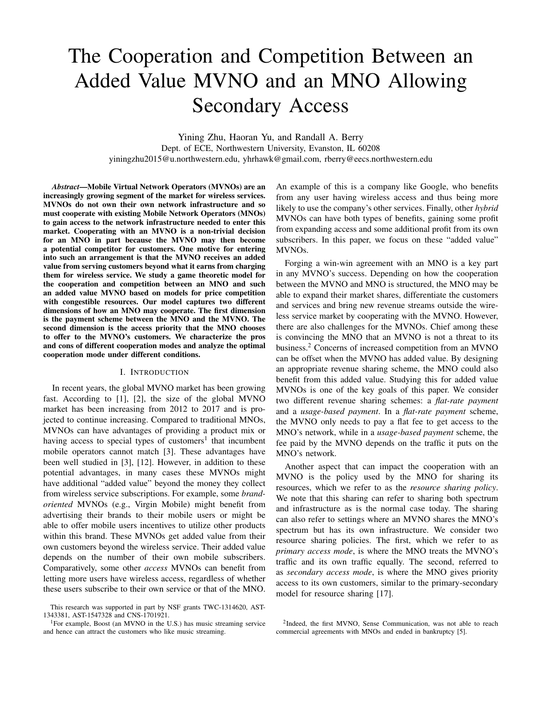# The Cooperation and Competition Between an Added Value MVNO and an MNO Allowing Secondary Access

Yining Zhu, Haoran Yu, and Randall A. Berry Dept. of ECE, Northwestern University, Evanston, IL 60208 yiningzhu2015@u.northwestern.edu, yhrhawk@gmail.com, rberry@eecs.northwestern.edu

*Abstract*—Mobile Virtual Network Operators (MVNOs) are an increasingly growing segment of the market for wireless services. MVNOs do not own their own network infrastructure and so must cooperate with existing Mobile Network Operators (MNOs) to gain access to the network infrastructure needed to enter this market. Cooperating with an MVNO is a non-trivial decision for an MNO in part because the MVNO may then become a potential competitor for customers. One motive for entering into such an arrangement is that the MVNO receives an added value from serving customers beyond what it earns from charging them for wireless service. We study a game theoretic model for the cooperation and competition between an MNO and such an added value MVNO based on models for price competition with congestible resources. Our model captures two different dimensions of how an MNO may cooperate. The first dimension is the payment scheme between the MNO and the MVNO. The second dimension is the access priority that the MNO chooses to offer to the MVNO's customers. We characterize the pros and cons of different cooperation modes and analyze the optimal cooperation mode under different conditions.

## I. INTRODUCTION

In recent years, the global MVNO market has been growing fast. According to [1], [2], the size of the global MVNO market has been increasing from 2012 to 2017 and is projected to continue increasing. Compared to traditional MNOs, MVNOs can have advantages of providing a product mix or having access to special types of customers<sup>1</sup> that incumbent mobile operators cannot match [3]. These advantages have been well studied in [3], [12]. However, in addition to these potential advantages, in many cases these MVNOs might have additional "added value" beyond the money they collect from wireless service subscriptions. For example, some *brandoriented* MVNOs (e.g., Virgin Mobile) might benefit from advertising their brands to their mobile users or might be able to offer mobile users incentives to utilize other products within this brand. These MVNOs get added value from their own customers beyond the wireless service. Their added value depends on the number of their own mobile subscribers. Comparatively, some other *access* MVNOs can benefit from letting more users have wireless access, regardless of whether these users subscribe to their own service or that of the MNO.

An example of this is a company like Google, who benefits from any user having wireless access and thus being more likely to use the company's other services. Finally, other *hybrid* MVNOs can have both types of benefits, gaining some profit from expanding access and some additional profit from its own subscribers. In this paper, we focus on these "added value" MVNOs.

Forging a win-win agreement with an MNO is a key part in any MVNO's success. Depending on how the cooperation between the MVNO and MNO is structured, the MNO may be able to expand their market shares, differentiate the customers and services and bring new revenue streams outside the wireless service market by cooperating with the MVNO. However, there are also challenges for the MVNOs. Chief among these is convincing the MNO that an MVNO is not a threat to its business.<sup>2</sup> Concerns of increased competition from an MVNO can be offset when the MVNO has added value. By designing an appropriate revenue sharing scheme, the MNO could also benefit from this added value. Studying this for added value MVNOs is one of the key goals of this paper. We consider two different revenue sharing schemes: a *flat-rate payment* and a *usage-based payment*. In a *flat-rate payment* scheme, the MVNO only needs to pay a flat fee to get access to the MNO's network, while in a *usage-based payment* scheme, the fee paid by the MVNO depends on the traffic it puts on the MNO's network.

Another aspect that can impact the cooperation with an MVNO is the policy used by the MNO for sharing its resources, which we refer to as the *resource sharing policy*. We note that this sharing can refer to sharing both spectrum and infrastructure as is the normal case today. The sharing can also refer to settings where an MVNO shares the MNO's spectrum but has its own infrastructure. We consider two resource sharing policies. The first, which we refer to as *primary access mode*, is where the MNO treats the MVNO's traffic and its own traffic equally. The second, referred to as *secondary access mode*, is where the MNO gives priority access to its own customers, similar to the primary-secondary model for resource sharing [17].

This research was supported in part by NSF grants TWC-1314620, AST-1343381, AST-1547328 and CNS-1701921.

<sup>&</sup>lt;sup>1</sup>For example, Boost (an MVNO in the U.S.) has music streaming service and hence can attract the customers who like music streaming.

<sup>&</sup>lt;sup>2</sup>Indeed, the first MVNO, Sense Communication, was not able to reach commercial agreements with MNOs and ended in bankruptcy [5].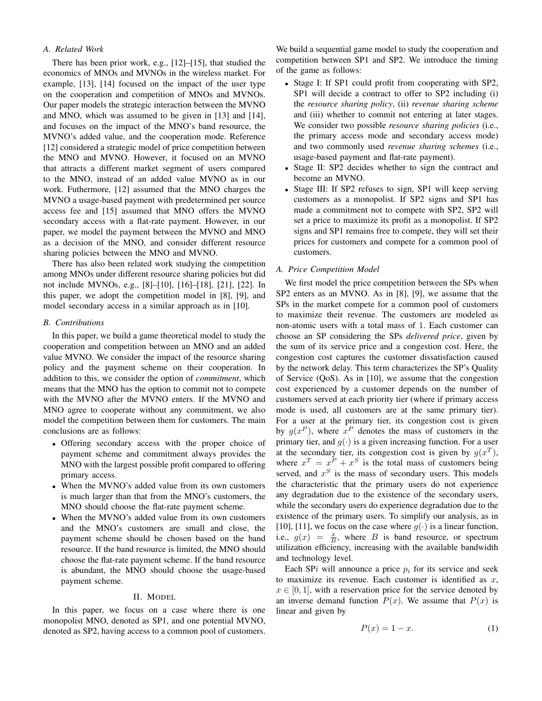# *A. Related Work*

There has been prior work, e.g., [12]–[15], that studied the economics of MNOs and MVNOs in the wireless market. For example, [13], [14] focused on the impact of the user type on the cooperation and competition of MNOs and MVNOs. Our paper models the strategic interaction between the MVNO and MNO, which was assumed to be given in [13] and [14], and focuses on the impact of the MNO's band resource, the MVNO's added value, and the cooperation mode. Reference [12] considered a strategic model of price competition between the MNO and MVNO. However, it focused on an MVNO that attracts a different market segment of users compared to the MNO, instead of an added value MVNO as in our work. Futhermore, [12] assumed that the MNO charges the MVNO a usage-based payment with predetermined per source access fee and [15] assumed that MNO offers the MVNO secondary access with a flat-rate payment. However, in our paper, we model the payment between the MVNO and MNO as a decision of the MNO, and consider different resource sharing policies between the MNO and MVNO.

There has also been related work studying the competition among MNOs under different resource sharing policies but did not include MVNOs, e.g., [8]–[10], [16]–[18], [21], [22]. In this paper, we adopt the competition model in [8], [9], and model secondary access in a similar approach as in [10].

# *B. Contributions*

In this paper, we build a game theoretical model to study the cooperation and competition between an MNO and an added value MVNO. We consider the impact of the resource sharing policy and the payment scheme on their cooperation. In addition to this, we consider the option of *commitment*, which means that the MNO has the option to commit not to compete with the MVNO after the MVNO enters. If the MVNO and MNO agree to cooperate without any commitment, we also model the competition between them for customers. The main conclusions are as follows:

- Offering secondary access with the proper choice of payment scheme and commitment always provides the MNO with the largest possible profit compared to offering primary access.
- When the MVNO's added value from its own customers is much larger than that from the MNO's customers, the MNO should choose the flat-rate payment scheme.
- When the MVNO's added value from its own customers and the MNO's customers are small and close, the payment scheme should be chosen based on the band resource. If the band resource is limited, the MNO should choose the flat-rate payment scheme. If the band resource is abundant, the MNO should choose the usage-based payment scheme.

#### II. MODEL

In this paper, we focus on a case where there is one monopolist MNO, denoted as SP1, and one potential MVNO, denoted as SP2, having access to a common pool of customers.

We build a sequential game model to study the cooperation and competition between SP1 and SP2. We introduce the timing of the game as follows:

- Stage I: If SP1 could profit from cooperating with SP2, SP1 will decide a contract to offer to SP2 including (i) the *resource sharing policy*, (ii) *revenue sharing scheme* and (iii) whether to commit not entering at later stages. We consider two possible *resource sharing policies* (i.e., the primary access mode and secondary access mode) and two commonly used *revenue sharing schemes* (i.e., usage-based payment and flat-rate payment).
- Stage II: SP2 decides whether to sign the contract and become an MVNO.
- Stage III: If SP2 refuses to sign, SP1 will keep serving customers as a monopolist. If SP2 signs and SP1 has made a commitment not to compete with SP2, SP2 will set a price to maximize its profit as a monopolist. If SP2 signs and SP1 remains free to compete, they will set their prices for customers and compete for a common pool of customers.

## *A. Price Competition Model*

We first model the price competition between the SPs when SP2 enters as an MVNO. As in [8], [9], we assume that the SPs in the market compete for a common pool of customers to maximize their revenue. The customers are modeled as non-atomic users with a total mass of 1. Each customer can choose an SP considering the SPs *delivered price*, given by the sum of its service price and a congestion cost. Here, the congestion cost captures the customer dissatisfaction caused by the network delay. This term characterizes the SP's Quality of Service (QoS). As in [10], we assume that the congestion cost experienced by a customer depends on the number of customers served at each priority tier (where if primary access mode is used, all customers are at the same primary tier). For a user at the primary tier, its congestion cost is given by  $g(x^P)$ , where  $x^P$  denotes the mass of customers in the primary tier, and  $g(\cdot)$  is a given increasing function. For a user at the secondary tier, its congestion cost is given by  $g(x^T)$ , where  $x^T = x^P + x^S$  is the total mass of customers being served, and  $x<sup>S</sup>$  is the mass of secondary users. This models the characteristic that the primary users do not experience any degradation due to the existence of the secondary users, while the secondary users do experience degradation due to the existence of the primary users. To simplify our analysis, as in [10], [11], we focus on the case where  $g(\cdot)$  is a linear function, i.e.,  $g(x) = \frac{x}{B}$ , where B is band resource, or spectrum utilization efficiency, increasing with the available bandwidth and technology level.

Each SPi will announce a price  $p_i$  for its service and seek to maximize its revenue. Each customer is identified as  $x$ ,  $x \in [0, 1]$ , with a reservation price for the service denoted by an inverse demand function  $P(x)$ . We assume that  $P(x)$  is linear and given by

$$
P(x) = 1 - x.\tag{1}
$$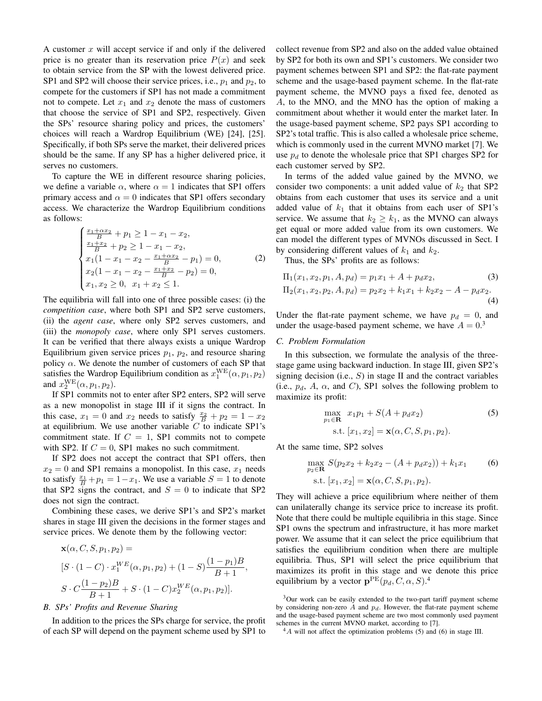A customer  $x$  will accept service if and only if the delivered price is no greater than its reservation price  $P(x)$  and seek to obtain service from the SP with the lowest delivered price. SP1 and SP2 will choose their service prices, i.e.,  $p_1$  and  $p_2$ , to compete for the customers if SP1 has not made a commitment not to compete. Let  $x_1$  and  $x_2$  denote the mass of customers that choose the service of SP1 and SP2, respectively. Given the SPs' resource sharing policy and prices, the customers' choices will reach a Wardrop Equilibrium (WE) [24], [25]. Specifically, if both SPs serve the market, their delivered prices should be the same. If any SP has a higher delivered price, it serves no customers.

To capture the WE in different resource sharing policies, we define a variable  $\alpha$ , where  $\alpha = 1$  indicates that SP1 offers primary access and  $\alpha = 0$  indicates that SP1 offers secondary access. We characterize the Wardrop Equilibrium conditions as follows:

$$
\begin{cases}\n\frac{x_1 + \alpha x_2}{B} + p_1 \ge 1 - x_1 - x_2, \\
\frac{x_1 + x_2}{B} + p_2 \ge 1 - x_1 - x_2, \\
x_1(1 - x_1 - x_2 - \frac{x_1 + \alpha x_2}{B} - p_1) = 0, \\
x_2(1 - x_1 - x_2 - \frac{x_1 + x_2}{B} - p_2) = 0, \\
x_1, x_2 \ge 0, \quad x_1 + x_2 \le 1.\n\end{cases}
$$
\n(2)

The equilibria will fall into one of three possible cases: (i) the *competition case*, where both SP1 and SP2 serve customers, (ii) the *agent case*, where only SP2 serves customers, and (iii) the *monopoly case*, where only SP1 serves customers. It can be verified that there always exists a unique Wardrop Equilibrium given service prices  $p_1$ ,  $p_2$ , and resource sharing policy  $\alpha$ . We denote the number of customers of each SP that satisfies the Wardrop Equilibrium condition as  $x_1^{\text{WE}}(\alpha, p_1, p_2)$ and  $x_2^{\text{WE}}(\alpha, p_1, p_2)$ .

If SP1 commits not to enter after SP2 enters, SP2 will serve as a new monopolist in stage III if it signs the contract. In this case,  $x_1 = 0$  and  $x_2$  needs to satisfy  $\frac{x_2}{B} + p_2 = 1 - x_2$ at equilibrium. We use another variable  $C$  to indicate SP1's commitment state. If  $C = 1$ , SP1 commits not to compete with SP2. If  $C = 0$ , SP1 makes no such commitment.

If SP2 does not accept the contract that SP1 offers, then  $x_2 = 0$  and SP1 remains a monopolist. In this case,  $x_1$  needs to satisfy  $\frac{x_1}{B} + p_1 = 1 - x_1$ . We use a variable  $S = 1$  to denote that SP2 signs the contract, and  $S = 0$  to indicate that SP2 does not sign the contract.

Combining these cases, we derive SP1's and SP2's market shares in stage III given the decisions in the former stages and service prices. We denote them by the following vector:

$$
\mathbf{x}(\alpha, C, S, p_1, p_2) =
$$
  
\n
$$
[S \cdot (1 - C) \cdot x_1^{WE}(\alpha, p_1, p_2) + (1 - S) \frac{(1 - p_1)B}{B + 1},
$$
  
\n
$$
S \cdot C \frac{(1 - p_2)B}{B + 1} + S \cdot (1 - C) x_2^{WE}(\alpha, p_1, p_2)].
$$

## *B. SPs' Profits and Revenue Sharing*

In addition to the prices the SPs charge for service, the profit of each SP will depend on the payment scheme used by SP1 to collect revenue from SP2 and also on the added value obtained by SP2 for both its own and SP1's customers. We consider two payment schemes between SP1 and SP2: the flat-rate payment scheme and the usage-based payment scheme. In the flat-rate payment scheme, the MVNO pays a fixed fee, denoted as A, to the MNO, and the MNO has the option of making a commitment about whether it would enter the market later. In the usage-based payment scheme, SP2 pays SP1 according to SP2's total traffic. This is also called a wholesale price scheme, which is commonly used in the current MVNO market [7]. We use  $p_d$  to denote the wholesale price that SP1 charges SP2 for each customer served by SP2.

In terms of the added value gained by the MVNO, we consider two components: a unit added value of  $k_2$  that SP2 obtains from each customer that uses its service and a unit added value of  $k_1$  that it obtains from each user of SP1's service. We assume that  $k_2 \geq k_1$ , as the MVNO can always get equal or more added value from its own customers. We can model the different types of MVNOs discussed in Sect. I by considering different values of  $k_1$  and  $k_2$ .

Thus, the SPs' profits are as follows:

$$
\Pi_1(x_1, x_2, p_1, A, p_d) = p_1 x_1 + A + p_d x_2,
$$
\n(3)  
\n
$$
\Pi_2(x_1, x_2, p_2, A, p_d) = p_2 x_2 + k_1 x_1 + k_2 x_2 - A - p_d x_2.
$$
\n(4)

Under the flat-rate payment scheme, we have  $p_d = 0$ , and under the usage-based payment scheme, we have  $A = 0<sup>3</sup>$ 

# *C. Problem Formulation*

In this subsection, we formulate the analysis of the threestage game using backward induction. In stage III, given SP2's signing decision (i.e.,  $S$ ) in stage II and the contract variables (i.e.,  $p_d$ , A,  $\alpha$ , and C), SP1 solves the following problem to maximize its profit:

$$
\max_{p_1 \in \mathbf{R}} x_1 p_1 + S(A + p_d x_2)
$$
 (5)  
s.t.  $[x_1, x_2] = \mathbf{x}(\alpha, C, S, p_1, p_2).$ 

At the same time, SP2 solves

$$
\max_{p_2 \in \mathbf{R}} S(p_2 x_2 + k_2 x_2 - (A + p_d x_2)) + k_1 x_1
$$
 (6)  
s.t.  $[x_1, x_2] = \mathbf{x}(\alpha, C, S, p_1, p_2).$ 

They will achieve a price equilibrium where neither of them can unilaterally change its service price to increase its profit. Note that there could be multiple equilibria in this stage. Since SP1 owns the spectrum and infrastructure, it has more market power. We assume that it can select the price equilibrium that satisfies the equilibrium condition when there are multiple equilibria. Thus, SP1 will select the price equilibrium that maximizes its profit in this stage and we denote this price equilibrium by a vector  $\mathbf{p}^{\text{PE}}(p_d, C, \alpha, S)$ .<sup>4</sup>

<sup>3</sup>Our work can be easily extended to the two-part tariff payment scheme by considering non-zero  $\overline{A}$  and  $p_d$ . However, the flat-rate payment scheme and the usage-based payment scheme are two most commonly used payment schemes in the current MVNO market, according to [7].

 $^{4}A$  will not affect the optimization problems (5) and (6) in stage III.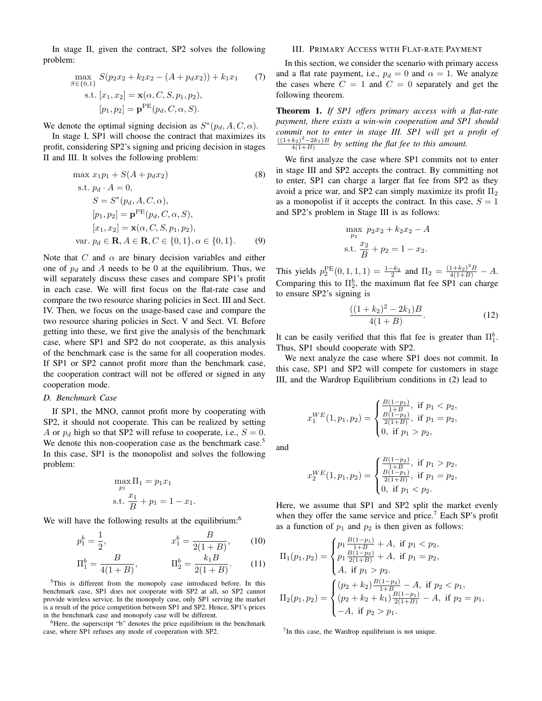In stage II, given the contract, SP2 solves the following problem:

$$
\max_{S \in \{0,1\}} S(p_2 x_2 + k_2 x_2 - (A + p_d x_2)) + k_1 x_1 \qquad (7)
$$
  
s.t.  $[x_1, x_2] = \mathbf{x}(\alpha, C, S, p_1, p_2),$   
 $[p_1, p_2] = \mathbf{p}^{\text{PE}}(p_d, C, \alpha, S).$ 

We denote the optimal signing decision as  $S^*(p_d, A, C, \alpha)$ .

In stage I, SP1 will choose the contract that maximizes its profit, considering SP2's signing and pricing decision in stages II and III. It solves the following problem:

max 
$$
x_1p_1 + S(A + p_dx_2)
$$
 (8)  
\ns.t.  $p_d \cdot A = 0$ ,  
\n $S = S^*(p_d, A, C, \alpha)$ ,  
\n $[p_1, p_2] = \mathbf{p}^{PE}(p_d, C, \alpha, S)$ ,  
\n $[x_1, x_2] = \mathbf{x}(\alpha, C, S, p_1, p_2)$ ,  
\nvar.  $p_d \in \mathbf{R}, A \in \mathbf{R}, C \in \{0, 1\}, \alpha \in \{0, 1\}$ . (9)

Note that C and  $\alpha$  are binary decision variables and either one of  $p_d$  and A needs to be 0 at the equilibrium. Thus, we will separately discuss these cases and compare SP1's profit in each case. We will first focus on the flat-rate case and compare the two resource sharing policies in Sect. III and Sect. IV. Then, we focus on the usage-based case and compare the two resource sharing policies in Sect. V and Sect. VI. Before getting into these, we first give the analysis of the benchmark case, where SP1 and SP2 do not cooperate, as this analysis of the benchmark case is the same for all cooperation modes. If SP1 or SP2 cannot profit more than the benchmark case, the cooperation contract will not be offered or signed in any cooperation mode.

## *D. Benchmark Case*

If SP1, the MNO, cannot profit more by cooperating with SP2, it should not cooperate. This can be realized by setting A or  $p_d$  high so that SP2 will refuse to cooperate, i.e.,  $S = 0$ . We denote this non-cooperation case as the benchmark case.<sup>5</sup> In this case, SP1 is the monopolist and solves the following problem:

$$
\max_{p_1} \Pi_1 = p_1 x_1
$$
  
s.t. 
$$
\frac{x_1}{B} + p_1 = 1 - x_1.
$$

We will have the following results at the equilibrium:<sup>6</sup>

$$
p_1^b = \frac{1}{2}, \qquad x_1^b = \frac{B}{2(1+B)}, \qquad (10)
$$

$$
\Pi_1^b = \frac{B}{4(1+B)}, \qquad \Pi_2^b = \frac{k_1B}{2(1+B)}.
$$
 (11)

<sup>5</sup>This is different from the monopoly case introduced before. In this benchmark case, SP1 does not cooperate with SP2 at all, so SP2 cannot provide wireless service. In the monopoly case, only SP1 serving the market is a result of the price competition between SP1 and SP2. Hence, SP1's prices in the benchmark case and monopoly case will be different.

 ${}^{6}$ Here, the superscript "b" denotes the price equilibrium in the benchmark case, where SP1 refuses any mode of cooperation with SP2.

# III. PRIMARY ACCESS WITH FLAT-RATE PAYMENT

In this section, we consider the scenario with primary access and a flat rate payment, i.e.,  $p_d = 0$  and  $\alpha = 1$ . We analyze the cases where  $C = 1$  and  $C = 0$  separately and get the following theorem.

Theorem 1. *If SP1 offers primary access with a flat-rate payment, there exists a win-win cooperation and SP1 should commit not to enter in stage III. SP1 will get a profit of*  $\frac{((1+k_2)^2-2k_1)B}{4(1+B)}$  by setting the flat fee to this amount.

We first analyze the case where SP1 commits not to enter in stage III and SP2 accepts the contract. By committing not to enter, SP1 can charge a larger flat fee from SP2 as they avoid a price war, and SP2 can simply maximize its profit  $\Pi_2$ as a monopolist if it accepts the contract. In this case,  $S = 1$ and SP2's problem in Stage III is as follows:

$$
\max_{p_2} p_2 x_2 + k_2 x_2 - A
$$
  
s.t. 
$$
\frac{x_2}{B} + p_2 = 1 - x_2.
$$

This yields  $p_2^{\text{PE}}(0,1,1,1) = \frac{1-k_2}{2}$  and  $\Pi_2 = \frac{(1+k_2)^2B}{4(1+B)} - A$ . Comparing this to  $\Pi_2^b$ , the maximum flat fee SP1 can charge to ensure SP2's signing is

$$
\frac{((1+k_2)^2 - 2k_1)B}{4(1+B)}.
$$
\n(12)

It can be easily verified that this flat fee is greater than  $\Pi_1^b$ . Thus, SP1 should cooperate with SP2.

We next analyze the case where SP1 does not commit. In this case, SP1 and SP2 will compete for customers in stage III, and the Wardrop Equilibrium conditions in (2) lead to

$$
x_1^{WE}(1, p_1, p_2) = \begin{cases} \frac{B(1-p_1)}{1+B}, & \text{if } p_1 < p_2, \\ \frac{B(1-p_2)}{2(1+B)}, & \text{if } p_1 = p_2, \\ 0, & \text{if } p_1 > p_2, \end{cases}
$$

and

$$
x_2^{WE}(1, p_1, p_2) = \begin{cases} \frac{B(1-p_2)}{1+B}, & \text{if } p_1 > p_2, \\ \frac{B(1-p_1)}{2(1+B)}, & \text{if } p_1 = p_2, \\ 0, & \text{if } p_1 < p_2. \end{cases}
$$

Here, we assume that SP1 and SP2 split the market evenly when they offer the same service and price.<sup>7</sup> Each SP's profit as a function of  $p_1$  and  $p_2$  is then given as follows:

$$
\Pi_1(p_1, p_2) = \begin{cases} p_1 \frac{B(1-p_1)}{1+B} + A, \text{ if } p_1 < p_2, \\ p_1 \frac{B(1-p_2)}{2(1+B)} + A, \text{ if } p_1 = p_2, \\ A, \text{ if } p_1 > p_2. \end{cases}
$$
\n
$$
\Pi_2(p_1, p_2) = \begin{cases} (p_2 + k_2) \frac{B(1-p_2)}{1+B} - A, \text{ if } p_2 < p_1, \\ (p_2 + k_2 + k_1) \frac{B(1-p_1)}{2(1+B)} - A, \text{ if } p_2 = p_1, \\ -A, \text{ if } p_2 > p_1. \end{cases}
$$

 $7$ In this case, the Wardrop equilibrium is not unique.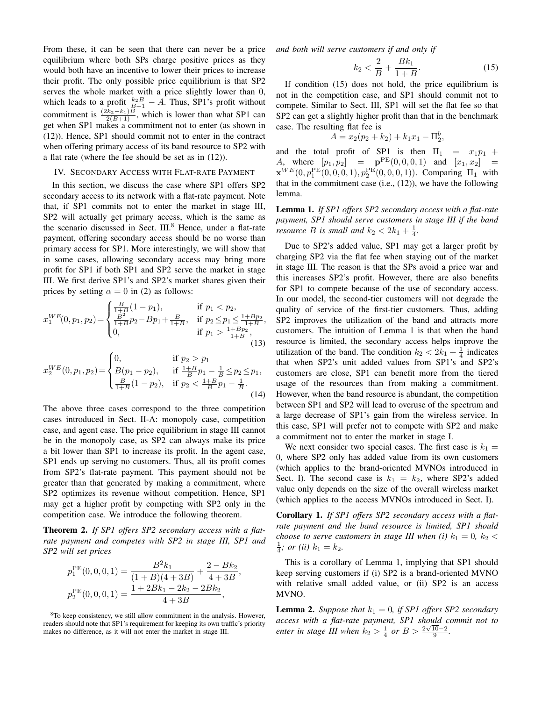From these, it can be seen that there can never be a price equilibrium where both SPs charge positive prices as they would both have an incentive to lower their prices to increase their profit. The only possible price equilibrium is that SP2 serves the whole market with a price slightly lower than 0, which leads to a profit  $\frac{k_2 B}{B+1} - A$ . Thus, SP1's profit without commitment is  $\frac{(2k_2-k_1)B}{2(B+1)}$ , which is lower than what SP1 can get when SP1 makes a commitment not to enter (as shown in (12)). Hence, SP1 should commit not to enter in the contract when offering primary access of its band resource to SP2 with a flat rate (where the fee should be set as in (12)).

#### IV. SECONDARY ACCESS WITH FLAT-RATE PAYMENT

In this section, we discuss the case where SP1 offers SP2 secondary access to its network with a flat-rate payment. Note that, if SP1 commits not to enter the market in stage III, SP2 will actually get primary access, which is the same as the scenario discussed in Sect. III.<sup>8</sup> Hence, under a flat-rate payment, offering secondary access should be no worse than primary access for SP1. More interestingly, we will show that in some cases, allowing secondary access may bring more profit for SP1 if both SP1 and SP2 serve the market in stage III. We first derive SP1's and SP2's market shares given their prices by setting  $\alpha = 0$  in (2) as follows:

$$
x_1^{WE}(0, p_1, p_2) = \begin{cases} \frac{B}{1+B}(1-p_1), & \text{if } p_1 < p_2, \\ \frac{B^2}{1+B}p_2 - Bp_1 + \frac{B}{1+B}, & \text{if } p_2 \le p_1 \le \frac{1+Bp_2}{1+B}, \\ 0, & \text{if } p_1 > \frac{1+Bp_2}{1+B}, \end{cases}
$$
(13)

$$
x_2^{WE}(0, p_1, p_2) = \begin{cases} 0, & \text{if } p_2 > p_1 \\ B(p_1 - p_2), & \text{if } \frac{1+B}{B}p_1 - \frac{1}{B} \le p_2 \le p_1, \\ \frac{B}{1+B}(1-p_2), & \text{if } p_2 < \frac{1+B}{B}p_1 - \frac{1}{B}. \end{cases}
$$
(14)

The above three cases correspond to the three competition cases introduced in Sect. II-A: monopoly case, competition case, and agent case. The price equilibrium in stage III cannot be in the monopoly case, as SP2 can always make its price a bit lower than SP1 to increase its profit. In the agent case, SP1 ends up serving no customers. Thus, all its profit comes from SP2's flat-rate payment. This payment should not be greater than that generated by making a commitment, where SP2 optimizes its revenue without competition. Hence, SP1 may get a higher profit by competing with SP2 only in the competition case. We introduce the following theorem.

Theorem 2. *If SP1 offers SP2 secondary access with a flatrate payment and competes with SP2 in stage III, SP1 and SP2 will set prices*

$$
p_1^{\text{PE}}(0,0,0,1) = \frac{B^2 k_1}{(1+B)(4+3B)} + \frac{2-Bk_2}{4+3B},
$$
  

$$
p_2^{\text{PE}}(0,0,0,1) = \frac{1+2Bk_1 - 2k_2 - 2Bk_2}{4+3B},
$$

<sup>8</sup>To keep consistency, we still allow commitment in the analysis. However, readers should note that SP1's requirement for keeping its own traffic's priority makes no difference, as it will not enter the market in stage III.

*and both will serve customers if and only if*

$$
k_2 < \frac{2}{B} + \frac{Bk_1}{1+B}.\tag{15}
$$

If condition (15) does not hold, the price equilibrium is not in the competition case, and SP1 should commit not to compete. Similar to Sect. III, SP1 will set the flat fee so that SP2 can get a slightly higher profit than that in the benchmark case. The resulting flat fee is

$$
A = x_2(p_2 + k_2) + k_1 x_1 - \Pi_2^b,
$$

and the total profit of SP1 is then  $\Pi_1 = x_1p_1 +$ A, where  $[p_1, p_2] = \mathbf{p}^{\text{PE}}(0, 0, 0, 1)$  and  $[x_1, x_2] =$  $\mathbf{x}^{WE}(0, p_1^{PE}(0, 0, 0, 1), p_2^{PE}(0, 0, 0, 1))$ . Comparing  $\Pi_1$  with that in the commitment case (i.e., (12)), we have the following lemma.

Lemma 1. *If SP1 offers SP2 secondary access with a flat-rate payment, SP1 should serve customers in stage III if the band resource B is small and*  $k_2 < 2k_1 + \frac{1}{4}$ .

Due to SP2's added value, SP1 may get a larger profit by charging SP2 via the flat fee when staying out of the market in stage III. The reason is that the SPs avoid a price war and this increases SP2's profit. However, there are also benefits for SP1 to compete because of the use of secondary access. In our model, the second-tier customers will not degrade the quality of service of the first-tier customers. Thus, adding SP2 improves the utilization of the band and attracts more customers. The intuition of Lemma 1 is that when the band resource is limited, the secondary access helps improve the utilization of the band. The condition  $k_2 < 2k_1 + \frac{1}{4}$  indicates that when SP2's unit added values from SP1's and SP2's customers are close, SP1 can benefit more from the tiered usage of the resources than from making a commitment. However, when the band resource is abundant, the competition between SP1 and SP2 will lead to overuse of the spectrum and a large decrease of SP1's gain from the wireless service. In this case, SP1 will prefer not to compete with SP2 and make a commitment not to enter the market in stage I.

We next consider two special cases. The first case is  $k_1 =$ 0, where SP2 only has added value from its own customers (which applies to the brand-oriented MVNOs introduced in Sect. I). The second case is  $k_1 = k_2$ , where SP2's added value only depends on the size of the overall wireless market (which applies to the access MVNOs introduced in Sect. I).

Corollary 1. *If SP1 offers SP2 secondary access with a flatrate payment and the band resource is limited, SP1 should choose to serve customers in stage III when (i)*  $k_1 = 0$ ,  $k_2$  <  $\frac{1}{4}$ ; or (ii)  $k_1 = k_2$ .

This is a corollary of Lemma 1, implying that SP1 should keep serving customers if (i) SP2 is a brand-oriented MVNO with relative small added value, or (ii) SP2 is an access MVNO.

**Lemma 2.** *Suppose that*  $k_1 = 0$ *, if SP1 offers SP2 secondary access with a flat-rate payment, SP1 should commit not to* √ *enter in stage III when*  $k_2 > \frac{1}{4}$  *or*  $B > \frac{2\sqrt{10-2}}{9}$ .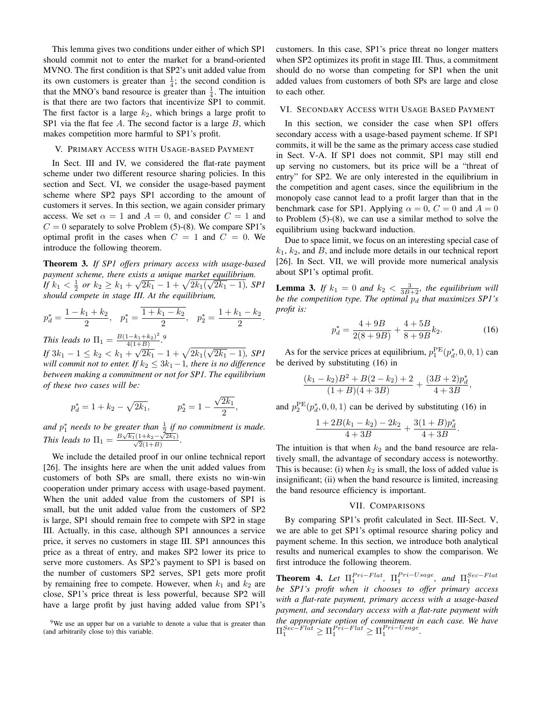This lemma gives two conditions under either of which SP1 should commit not to enter the market for a brand-oriented MVNO. The first condition is that SP2's unit added value from its own customers is greater than  $\frac{1}{4}$ ; the second condition is that the MNO's band resource is greater than  $\frac{1}{4}$ . The intuition is that there are two factors that incentivize SP1 to commit. The first factor is a large  $k_2$ , which brings a large profit to SP1 via the flat fee  $A$ . The second factor is a large  $B$ , which makes competition more harmful to SP1's profit.

## V. PRIMARY ACCESS WITH USAGE-BASED PAYMENT

In Sect. III and IV, we considered the flat-rate payment scheme under two different resource sharing policies. In this section and Sect. VI, we consider the usage-based payment scheme where SP2 pays SP1 according to the amount of customers it serves. In this section, we again consider primary access. We set  $\alpha = 1$  and  $A = 0$ , and consider  $C = 1$  and  $C = 0$  separately to solve Problem (5)-(8). We compare SP1's optimal profit in the cases when  $C = 1$  and  $C = 0$ . We introduce the following theorem.

Theorem 3. *If SP1 offers primary access with usage-based payment scheme, there exists a unique market equilibrium.* √ √ *If*  $k_1 < \frac{1}{2}$  or  $k_2 \geq k_1 + \sqrt{2k_1} - 1 + \sqrt{2k_1(\sqrt{2k_1} - 1)}$ *, SP1 should compete in stage III. At the equilibrium,*

$$
p_d^* = \frac{1 - k_1 + k_2}{2}
$$
,  $p_1^* = \frac{\overline{1 + k_1 - k_2}}{2}$ ,  $p_2^* = \frac{1 + k_1 - k_2}{2}$ 

.

*This leads to*  $\Pi_1 = \frac{B(1-k_1+k_2)^2}{4(1+B)}$  $\frac{(1-k_1+k_2)^2}{4(1+B)}$ .<sup>9</sup>

*If*  $3k_1 - 1 \le k_2 < k_1 + \sqrt{2k_1 - 1} + \sqrt{2k_1(\sqrt{2k_1} - 1)}$ *, SP1 will commit not to enter. If*  $k_2 \leq 3k_1-1$ , there is no difference *between making a commitment or not for SP1. The equilibrium of these two cases will be:*

$$
p_d^* = 1 + k_2 - \sqrt{2k_1}
$$
,  $p_2^* = 1 - \frac{\sqrt{2k_1}}{2}$ ,

and  $p_1^*$  needs to be greater than  $\frac{1}{2}$  if no commitment is made. *This leads to*  $\Pi_1 = \frac{B\sqrt{k_1}(1+k_2-\sqrt{2k_1})}{\sqrt{2}(1+B)}$ .

We include the detailed proof in our online technical report [26]. The insights here are when the unit added values from customers of both SPs are small, there exists no win-win cooperation under primary access with usage-based payment. When the unit added value from the customers of SP1 is small, but the unit added value from the customers of SP2 is large, SP1 should remain free to compete with SP2 in stage III. Actually, in this case, although SP1 announces a service price, it serves no customers in stage III. SP1 announces this price as a threat of entry, and makes SP2 lower its price to serve more customers. As SP2's payment to SP1 is based on the number of customers SP2 serves, SP1 gets more profit by remaining free to compete. However, when  $k_1$  and  $k_2$  are close, SP1's price threat is less powerful, because SP2 will have a large profit by just having added value from SP1's customers. In this case, SP1's price threat no longer matters when SP2 optimizes its profit in stage III. Thus, a commitment should do no worse than competing for SP1 when the unit added values from customers of both SPs are large and close to each other.

## VI. SECONDARY ACCESS WITH USAGE BASED PAYMENT

In this section, we consider the case when SP1 offers secondary access with a usage-based payment scheme. If SP1 commits, it will be the same as the primary access case studied in Sect. V-A. If SP1 does not commit, SP1 may still end up serving no customers, but its price will be a "threat of entry" for SP2. We are only interested in the equilibrium in the competition and agent cases, since the equilibrium in the monopoly case cannot lead to a profit larger than that in the benchmark case for SP1. Applying  $\alpha = 0$ ,  $C = 0$  and  $A = 0$ to Problem (5)-(8), we can use a similar method to solve the equilibrium using backward induction.

Due to space limit, we focus on an interesting special case of  $k_1$ ,  $k_2$ , and  $B$ , and include more details in our technical report [26]. In Sect. VII, we will provide more numerical analysis about SP1's optimal profit.

**Lemma 3.** If  $k_1 = 0$  and  $k_2 < \frac{3}{3B+2}$ , the equilibrium will *be the competition type. The optimal*  $p_d$  *that maximizes SP1's profit is:*

$$
p_d^* = \frac{4 + 9B}{2(8 + 9B)} + \frac{4 + 5B}{8 + 9B}k_2.
$$
 (16)

.

As for the service prices at equilibrium,  $p_1^{\text{PE}}(p_d^*, 0, 0, 1)$  can be derived by substituting (16) in

$$
\frac{(k_1-k_2)B^2+B(2-k_2)+2}{(1+B)(4+3B)}+\frac{(3B+2)p_d^*}{4+3B},
$$

and  $p_2^{\text{PE}}(p_d^*, 0, 0, 1)$  can be derived by substituting (16) in

$$
\frac{1+2B(k_1-k_2)-2k_2}{4+3B}+\frac{3(1+B)p_d^*}{4+3B}
$$

The intuition is that when  $k_2$  and the band resource are relatively small, the advantage of secondary access is noteworthy. This is because: (i) when  $k_2$  is small, the loss of added value is insignificant; (ii) when the band resource is limited, increasing the band resource efficiency is important.

## VII. COMPARISONS

By comparing SP1's profit calculated in Sect. III-Sect. V, we are able to get SP1's optimal resource sharing policy and payment scheme. In this section, we introduce both analytical results and numerical examples to show the comparison. We first introduce the following theorem.

**Theorem 4.** Let  $\Pi_1^{Pri-Flat}$ ,  $\Pi_1^{Pri-Usage}$ , and  $\Pi_1^{Sec-Flat}$ <br>be SP1's profit when it chooses to offer primary access *with a flat-rate payment, primary access with a usage-based payment, and secondary access with a flat-rate payment with the appropriate option of commitment in each case. We have*  $\Pi_1^{Sec-Flat} \geq \Pi_1^{Pri-Flat} \geq \Pi_1^{Pri-Usage}.$ 

<sup>&</sup>lt;sup>9</sup>We use an upper bar on a variable to denote a value that is greater than (and arbitrarily close to) this variable.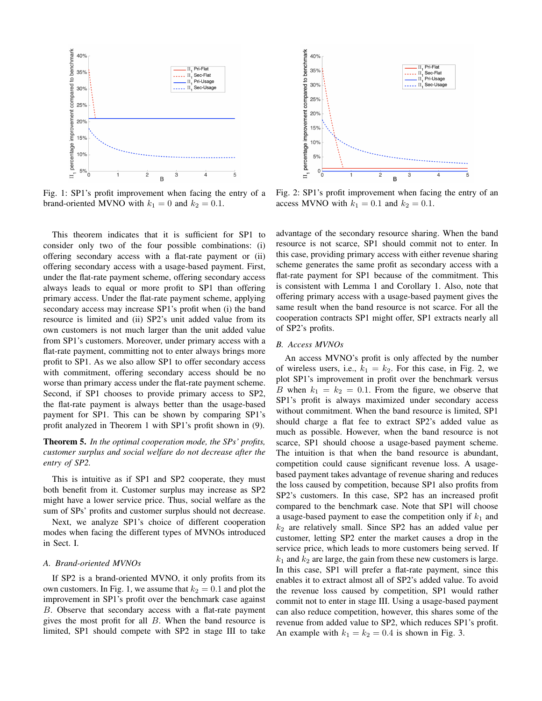

Fig. 1: SP1's profit improvement when facing the entry of a brand-oriented MVNO with  $k_1 = 0$  and  $k_2 = 0.1$ .

This theorem indicates that it is sufficient for SP1 to consider only two of the four possible combinations: (i) offering secondary access with a flat-rate payment or (ii) offering secondary access with a usage-based payment. First, under the flat-rate payment scheme, offering secondary access always leads to equal or more profit to SP1 than offering primary access. Under the flat-rate payment scheme, applying secondary access may increase SP1's profit when (i) the band resource is limited and (ii) SP2's unit added value from its own customers is not much larger than the unit added value from SP1's customers. Moreover, under primary access with a flat-rate payment, committing not to enter always brings more profit to SP1. As we also allow SP1 to offer secondary access with commitment, offering secondary access should be no worse than primary access under the flat-rate payment scheme. Second, if SP1 chooses to provide primary access to SP2, the flat-rate payment is always better than the usage-based payment for SP1. This can be shown by comparing SP1's profit analyzed in Theorem 1 with SP1's profit shown in (9).

Theorem 5. *In the optimal cooperation mode, the SPs' profits, customer surplus and social welfare do not decrease after the entry of SP2.*

This is intuitive as if SP1 and SP2 cooperate, they must both benefit from it. Customer surplus may increase as SP2 might have a lower service price. Thus, social welfare as the sum of SPs' profits and customer surplus should not decrease.

Next, we analyze SP1's choice of different cooperation modes when facing the different types of MVNOs introduced in Sect. I.

## *A. Brand-oriented MVNOs*

If SP2 is a brand-oriented MVNO, it only profits from its own customers. In Fig. 1, we assume that  $k_2 = 0.1$  and plot the improvement in SP1's profit over the benchmark case against B. Observe that secondary access with a flat-rate payment gives the most profit for all B. When the band resource is limited, SP1 should compete with SP2 in stage III to take



Fig. 2: SP1's profit improvement when facing the entry of an access MVNO with  $k_1 = 0.1$  and  $k_2 = 0.1$ .

advantage of the secondary resource sharing. When the band resource is not scarce, SP1 should commit not to enter. In this case, providing primary access with either revenue sharing scheme generates the same profit as secondary access with a flat-rate payment for SP1 because of the commitment. This is consistent with Lemma 1 and Corollary 1. Also, note that offering primary access with a usage-based payment gives the same result when the band resource is not scarce. For all the cooperation contracts SP1 might offer, SP1 extracts nearly all of SP2's profits.

## *B. Access MVNOs*

An access MVNO's profit is only affected by the number of wireless users, i.e.,  $k_1 = k_2$ . For this case, in Fig. 2, we plot SP1's improvement in profit over the benchmark versus B when  $k_1 = k_2 = 0.1$ . From the figure, we observe that SP1's profit is always maximized under secondary access without commitment. When the band resource is limited, SP1 should charge a flat fee to extract SP2's added value as much as possible. However, when the band resource is not scarce, SP1 should choose a usage-based payment scheme. The intuition is that when the band resource is abundant, competition could cause significant revenue loss. A usagebased payment takes advantage of revenue sharing and reduces the loss caused by competition, because SP1 also profits from SP2's customers. In this case, SP2 has an increased profit compared to the benchmark case. Note that SP1 will choose a usage-based payment to ease the competition only if  $k_1$  and  $k_2$  are relatively small. Since SP2 has an added value per customer, letting SP2 enter the market causes a drop in the service price, which leads to more customers being served. If  $k_1$  and  $k_2$  are large, the gain from these new customers is large. In this case, SP1 will prefer a flat-rate payment, since this enables it to extract almost all of SP2's added value. To avoid the revenue loss caused by competition, SP1 would rather commit not to enter in stage III. Using a usage-based payment can also reduce competition, however, this shares some of the revenue from added value to SP2, which reduces SP1's profit. An example with  $k_1 = k_2 = 0.4$  is shown in Fig. 3.